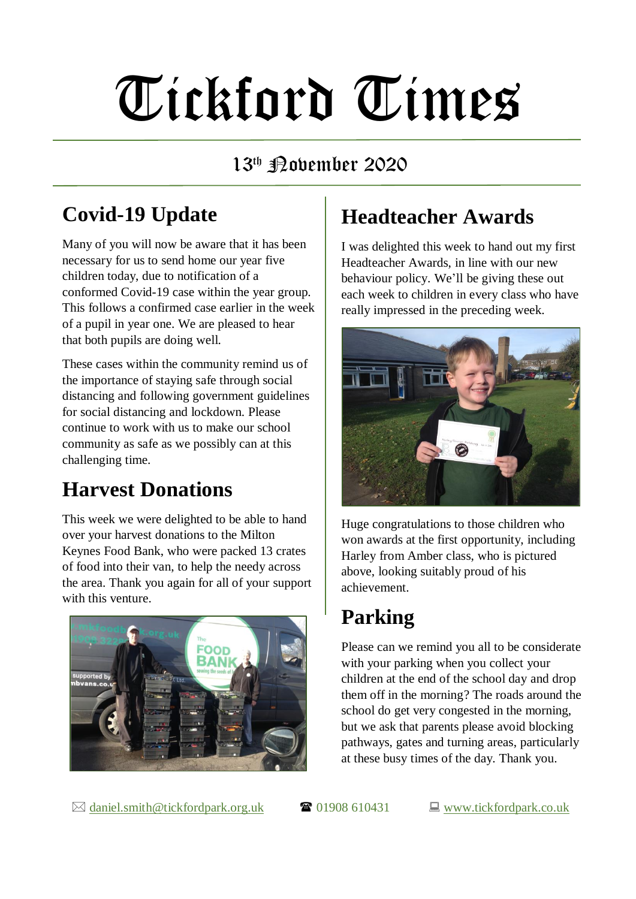# Tickford Times

#### 13<sup>th</sup> Pabember 2020

# **Covid-19 Update**

Many of you will now be aware that it has been necessary for us to send home our year five children today, due to notification of a conformed Covid-19 case within the year group. This follows a confirmed case earlier in the week of a pupil in year one. We are pleased to hear that both pupils are doing well.

These cases within the community remind us of the importance of staying safe through social distancing and following government guidelines for social distancing and lockdown. Please continue to work with us to make our school community as safe as we possibly can at this challenging time.

### **Harvest Donations**

This week we were delighted to be able to hand over your harvest donations to the Milton Keynes Food Bank, who were packed 13 crates of food into their van, to help the needy across the area. Thank you again for all of your support with this venture.



# **Headteacher Awards**

I was delighted this week to hand out my first Headteacher Awards, in line with our new behaviour policy. We'll be giving these out each week to children in every class who have really impressed in the preceding week.



Huge congratulations to those children who won awards at the first opportunity, including Harley from Amber class, who is pictured above, looking suitably proud of his achievement.

# **Parking**

Please can we remind you all to be considerate with your parking when you collect your children at the end of the school day and drop them off in the morning? The roads around the school do get very congested in the morning, but we ask that parents please avoid blocking pathways, gates and turning areas, particularly at these busy times of the day. Thank you.

 $\boxtimes$  [daniel.smith@tickfordpark.org.uk](mailto:daniel.smith@tickfordpark.org.uk)  $\bullet$  01908 610431  $\Box$  [www.tickfordpark.co.uk](http://www.tickfordpark.co.uk/)